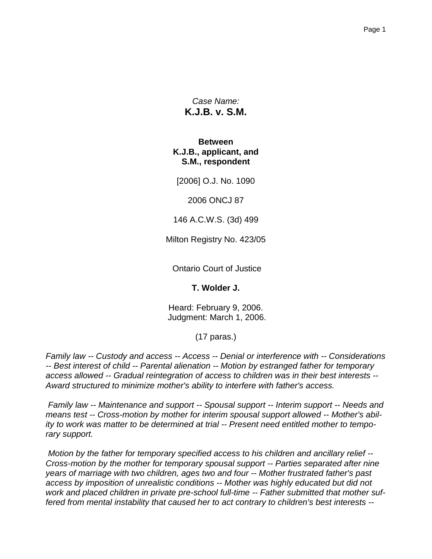*Case Name:* **K.J.B. v. S.M.**

**Between K.J.B., applicant, and S.M., respondent**

[2006] O.J. No. 1090

2006 ONCJ 87

146 A.C.W.S. (3d) 499

Milton Registry No. 423/05

Ontario Court of Justice

**T. Wolder J.**

Heard: February 9, 2006. Judgment: March 1, 2006.

(17 paras.)

*Family law -- Custody and access -- Access -- Denial or interference with -- Considerations -- Best interest of child -- Parental alienation -- Motion by estranged father for temporary access allowed -- Gradual reintegration of access to children was in their best interests -- Award structured to minimize mother's ability to interfere with father's access.*

*Family law -- Maintenance and support -- Spousal support -- Interim support -- Needs and means test -- Cross-motion by mother for interim spousal support allowed -- Mother's ability to work was matter to be determined at trial -- Present need entitled mother to temporary support.*

*Motion by the father for temporary specified access to his children and ancillary relief -- Cross-motion by the mother for temporary spousal support -- Parties separated after nine years of marriage with two children, ages two and four -- Mother frustrated father's past access by imposition of unrealistic conditions -- Mother was highly educated but did not work and placed children in private pre-school full-time -- Father submitted that mother suffered from mental instability that caused her to act contrary to children's best interests --*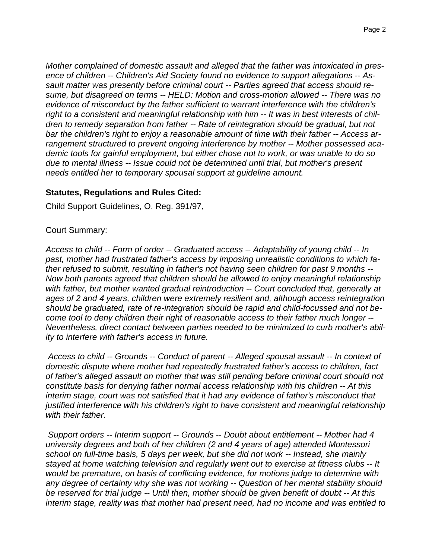*Mother complained of domestic assault and alleged that the father was intoxicated in presence of children -- Children's Aid Society found no evidence to support allegations -- Assault matter was presently before criminal court -- Parties agreed that access should resume, but disagreed on terms -- HELD: Motion and cross-motion allowed -- There was no evidence of misconduct by the father sufficient to warrant interference with the children's right to a consistent and meaningful relationship with him -- It was in best interests of children to remedy separation from father -- Rate of reintegration should be gradual, but not bar the children's right to enjoy a reasonable amount of time with their father -- Access arrangement structured to prevent ongoing interference by mother -- Mother possessed academic tools for gainful employment, but either chose not to work, or was unable to do so due to mental illness -- Issue could not be determined until trial, but mother's present needs entitled her to temporary spousal support at guideline amount.*

### **Statutes, Regulations and Rules Cited:**

Child Support Guidelines, O. Reg. 391/97,

### Court Summary:

*Access to child -- Form of order -- Graduated access -- Adaptability of young child -- In past, mother had frustrated father's access by imposing unrealistic conditions to which father refused to submit, resulting in father's not having seen children for past 9 months -- Now both parents agreed that children should be allowed to enjoy meaningful relationship with father, but mother wanted gradual reintroduction -- Court concluded that, generally at ages of 2 and 4 years, children were extremely resilient and, although access reintegration should be graduated, rate of re-integration should be rapid and child-focussed and not become tool to deny children their right of reasonable access to their father much longer -- Nevertheless, direct contact between parties needed to be minimized to curb mother's ability to interfere with father's access in future.*

*Access to child -- Grounds -- Conduct of parent -- Alleged spousal assault -- In context of domestic dispute where mother had repeatedly frustrated father's access to children, fact of father's alleged assault on mother that was still pending before criminal court should not constitute basis for denying father normal access relationship with his children -- At this interim stage, court was not satisfied that it had any evidence of father's misconduct that justified interference with his children's right to have consistent and meaningful relationship with their father.*

*Support orders -- Interim support -- Grounds -- Doubt about entitlement -- Mother had 4 university degrees and both of her children (2 and 4 years of age) attended Montessori school on full-time basis, 5 days per week, but she did not work -- Instead, she mainly stayed at home watching television and regularly went out to exercise at fitness clubs -- It would be premature, on basis of conflicting evidence, for motions judge to determine with any degree of certainty why she was not working -- Question of her mental stability should be reserved for trial judge -- Until then, mother should be given benefit of doubt -- At this interim stage, reality was that mother had present need, had no income and was entitled to*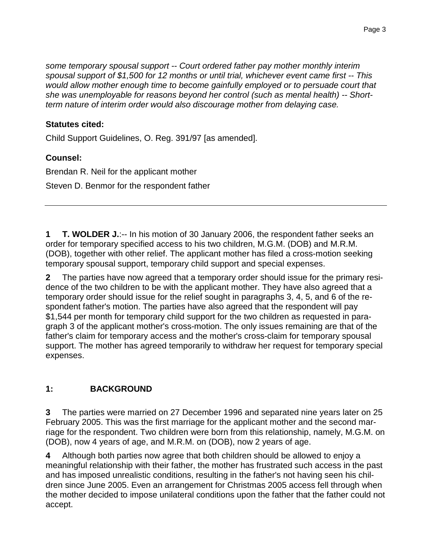*some temporary spousal support -- Court ordered father pay mother monthly interim spousal support of \$1,500 for 12 months or until trial, whichever event came first -- This would allow mother enough time to become gainfully employed or to persuade court that she was unemployable for reasons beyond her control (such as mental health) -- Shortterm nature of interim order would also discourage mother from delaying case.*

## **Statutes cited:**

Child Support Guidelines, O. Reg. 391/97 [as amended].

## **Counsel:**

Brendan R. Neil for the applicant mother Steven D. Benmor for the respondent father

**1 T. WOLDER J.**:-- In his motion of 30 January 2006, the respondent father seeks an order for temporary specified access to his two children, M.G.M. (DOB) and M.R.M. (DOB), together with other relief. The applicant mother has filed a cross-motion seeking temporary spousal support, temporary child support and special expenses.

**2** The parties have now agreed that a temporary order should issue for the primary residence of the two children to be with the applicant mother. They have also agreed that a temporary order should issue for the relief sought in paragraphs 3, 4, 5, and 6 of the respondent father's motion. The parties have also agreed that the respondent will pay \$1,544 per month for temporary child support for the two children as requested in paragraph 3 of the applicant mother's cross-motion. The only issues remaining are that of the father's claim for temporary access and the mother's cross-claim for temporary spousal support. The mother has agreed temporarily to withdraw her request for temporary special expenses.

# **1: BACKGROUND**

**3** The parties were married on 27 December 1996 and separated nine years later on 25 February 2005. This was the first marriage for the applicant mother and the second marriage for the respondent. Two children were born from this relationship, namely, M.G.M. on (DOB), now 4 years of age, and M.R.M. on (DOB), now 2 years of age.

**4** Although both parties now agree that both children should be allowed to enjoy a meaningful relationship with their father, the mother has frustrated such access in the past and has imposed unrealistic conditions, resulting in the father's not having seen his children since June 2005. Even an arrangement for Christmas 2005 access fell through when the mother decided to impose unilateral conditions upon the father that the father could not accept.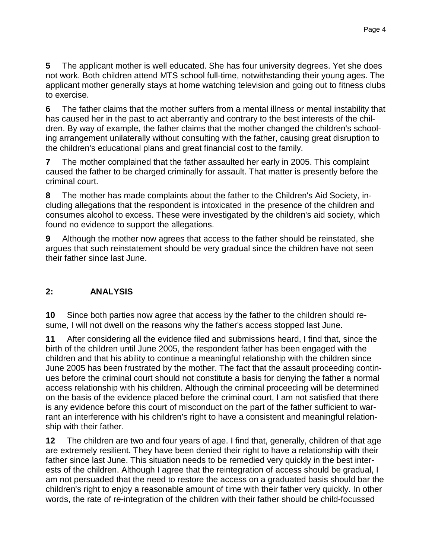**5** The applicant mother is well educated. She has four university degrees. Yet she does not work. Both children attend MTS school full-time, notwithstanding their young ages. The applicant mother generally stays at home watching television and going out to fitness clubs to exercise.

**6** The father claims that the mother suffers from a mental illness or mental instability that has caused her in the past to act aberrantly and contrary to the best interests of the children. By way of example, the father claims that the mother changed the children's schooling arrangement unilaterally without consulting with the father, causing great disruption to the children's educational plans and great financial cost to the family.

**7** The mother complained that the father assaulted her early in 2005. This complaint caused the father to be charged criminally for assault. That matter is presently before the criminal court.

**8** The mother has made complaints about the father to the Children's Aid Society, including allegations that the respondent is intoxicated in the presence of the children and consumes alcohol to excess. These were investigated by the children's aid society, which found no evidence to support the allegations.

**9** Although the mother now agrees that access to the father should be reinstated, she argues that such reinstatement should be very gradual since the children have not seen their father since last June.

## **2: ANALYSIS**

**10** Since both parties now agree that access by the father to the children should resume, I will not dwell on the reasons why the father's access stopped last June.

**11** After considering all the evidence filed and submissions heard, I find that, since the birth of the children until June 2005, the respondent father has been engaged with the children and that his ability to continue a meaningful relationship with the children since June 2005 has been frustrated by the mother. The fact that the assault proceeding continues before the criminal court should not constitute a basis for denying the father a normal access relationship with his children. Although the criminal proceeding will be determined on the basis of the evidence placed before the criminal court, I am not satisfied that there is any evidence before this court of misconduct on the part of the father sufficient to warrant an interference with his children's right to have a consistent and meaningful relationship with their father.

**12** The children are two and four years of age. I find that, generally, children of that age are extremely resilient. They have been denied their right to have a relationship with their father since last June. This situation needs to be remedied very quickly in the best interests of the children. Although I agree that the reintegration of access should be gradual, I am not persuaded that the need to restore the access on a graduated basis should bar the children's right to enjoy a reasonable amount of time with their father very quickly. In other words, the rate of re-integration of the children with their father should be child-focussed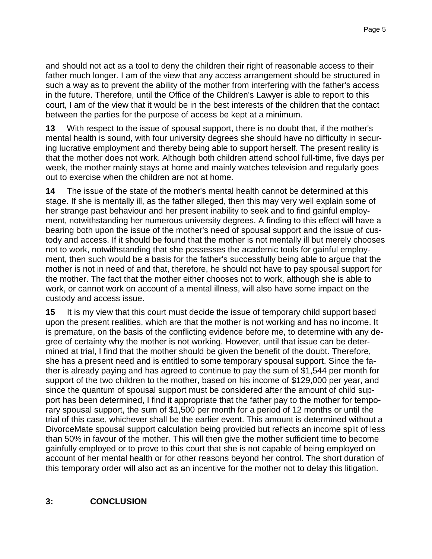and should not act as a tool to deny the children their right of reasonable access to their father much longer. I am of the view that any access arrangement should be structured in such a way as to prevent the ability of the mother from interfering with the father's access in the future. Therefore, until the Office of the Children's Lawyer is able to report to this court, I am of the view that it would be in the best interests of the children that the contact between the parties for the purpose of access be kept at a minimum.

**13** With respect to the issue of spousal support, there is no doubt that, if the mother's mental health is sound, with four university degrees she should have no difficulty in securing lucrative employment and thereby being able to support herself. The present reality is that the mother does not work. Although both children attend school full-time, five days per week, the mother mainly stays at home and mainly watches television and regularly goes out to exercise when the children are not at home.

**14** The issue of the state of the mother's mental health cannot be determined at this stage. If she is mentally ill, as the father alleged, then this may very well explain some of her strange past behaviour and her present inability to seek and to find gainful employment, notwithstanding her numerous university degrees. A finding to this effect will have a bearing both upon the issue of the mother's need of spousal support and the issue of custody and access. If it should be found that the mother is not mentally ill but merely chooses not to work, notwithstanding that she possesses the academic tools for gainful employment, then such would be a basis for the father's successfully being able to argue that the mother is not in need of and that, therefore, he should not have to pay spousal support for the mother. The fact that the mother either chooses not to work, although she is able to work, or cannot work on account of a mental illness, will also have some impact on the custody and access issue.

**15** It is my view that this court must decide the issue of temporary child support based upon the present realities, which are that the mother is not working and has no income. It is premature, on the basis of the conflicting evidence before me, to determine with any degree of certainty why the mother is not working. However, until that issue can be determined at trial, I find that the mother should be given the benefit of the doubt. Therefore, she has a present need and is entitled to some temporary spousal support. Since the father is already paying and has agreed to continue to pay the sum of \$1,544 per month for support of the two children to the mother, based on his income of \$129,000 per year, and since the quantum of spousal support must be considered after the amount of child support has been determined, I find it appropriate that the father pay to the mother for temporary spousal support, the sum of \$1,500 per month for a period of 12 months or until the trial of this case, whichever shall be the earlier event. This amount is determined without a DivorceMate spousal support calculation being provided but reflects an income split of less than 50% in favour of the mother. This will then give the mother sufficient time to become gainfully employed or to prove to this court that she is not capable of being employed on account of her mental health or for other reasons beyond her control. The short duration of this temporary order will also act as an incentive for the mother not to delay this litigation.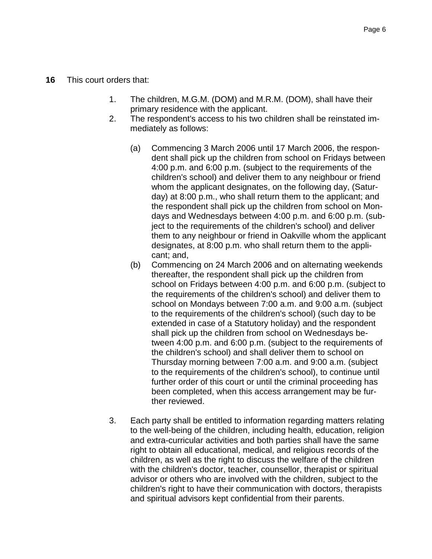#### **16** This court orders that:

- 1. The children, M.G.M. (DOM) and M.R.M. (DOM), shall have their primary residence with the applicant.
- 2. The respondent's access to his two children shall be reinstated immediately as follows:
	- (a) Commencing 3 March 2006 until 17 March 2006, the respondent shall pick up the children from school on Fridays between 4:00 p.m. and 6:00 p.m. (subject to the requirements of the children's school) and deliver them to any neighbour or friend whom the applicant designates, on the following day, (Saturday) at 8:00 p.m., who shall return them to the applicant; and the respondent shall pick up the children from school on Mondays and Wednesdays between 4:00 p.m. and 6:00 p.m. (subject to the requirements of the children's school) and deliver them to any neighbour or friend in Oakville whom the applicant designates, at 8:00 p.m. who shall return them to the applicant; and,
	- (b) Commencing on 24 March 2006 and on alternating weekends thereafter, the respondent shall pick up the children from school on Fridays between 4:00 p.m. and 6:00 p.m. (subject to the requirements of the children's school) and deliver them to school on Mondays between 7:00 a.m. and 9:00 a.m. (subject to the requirements of the children's school) (such day to be extended in case of a Statutory holiday) and the respondent shall pick up the children from school on Wednesdays between 4:00 p.m. and 6:00 p.m. (subject to the requirements of the children's school) and shall deliver them to school on Thursday morning between 7:00 a.m. and 9:00 a.m. (subject to the requirements of the children's school), to continue until further order of this court or until the criminal proceeding has been completed, when this access arrangement may be further reviewed.
- 3. Each party shall be entitled to information regarding matters relating to the well-being of the children, including health, education, religion and extra-curricular activities and both parties shall have the same right to obtain all educational, medical, and religious records of the children, as well as the right to discuss the welfare of the children with the children's doctor, teacher, counsellor, therapist or spiritual advisor or others who are involved with the children, subject to the children's right to have their communication with doctors, therapists and spiritual advisors kept confidential from their parents.